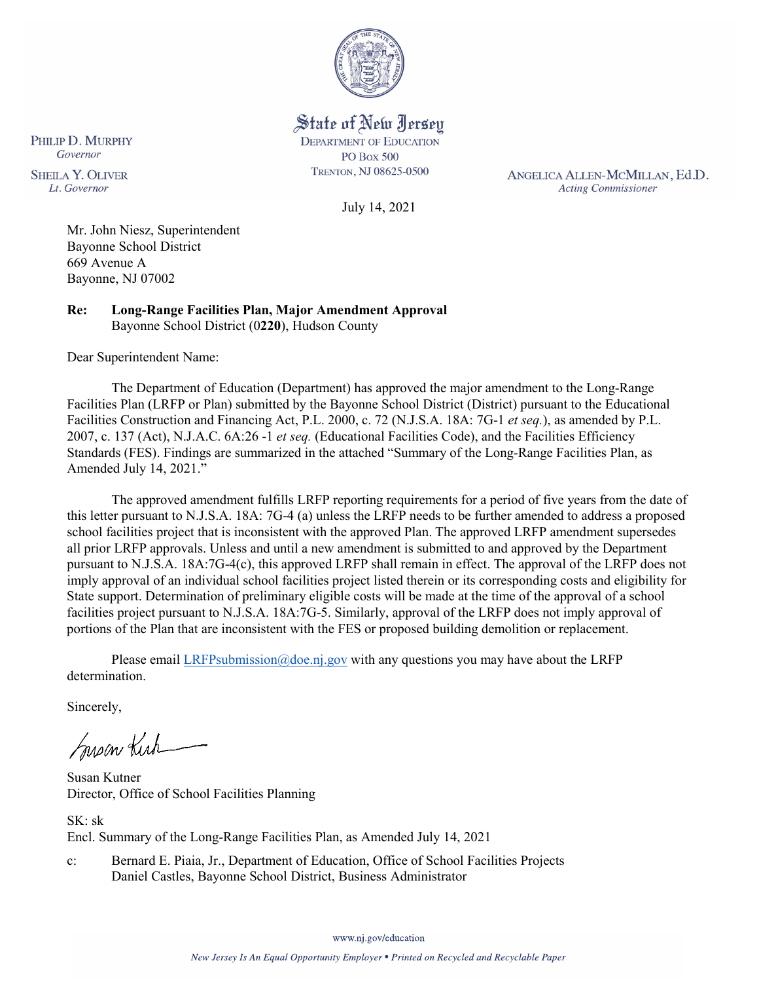

State of New Jersey **DEPARTMENT OF EDUCATION PO Box 500** TRENTON, NJ 08625-0500

July 14, 2021

ANGELICA ALLEN-MCMILLAN, Ed.D. **Acting Commissioner** 

Mr. John Niesz, Superintendent Bayonne School District 669 Avenue A Bayonne, NJ 07002

PHILIP D. MURPHY Governor

**SHEILA Y. OLIVER** 

Lt. Governor

**Re: Long-Range Facilities Plan, Major Amendment Approval**  Bayonne School District (0**220**), Hudson County

Dear Superintendent Name:

The Department of Education (Department) has approved the major amendment to the Long-Range Facilities Plan (LRFP or Plan) submitted by the Bayonne School District (District) pursuant to the Educational Facilities Construction and Financing Act, P.L. 2000, c. 72 (N.J.S.A. 18A: 7G-1 *et seq.*), as amended by P.L. 2007, c. 137 (Act), N.J.A.C. 6A:26 -1 *et seq.* (Educational Facilities Code), and the Facilities Efficiency Standards (FES). Findings are summarized in the attached "Summary of the Long-Range Facilities Plan, as Amended July 14, 2021."

The approved amendment fulfills LRFP reporting requirements for a period of five years from the date of this letter pursuant to N.J.S.A. 18A: 7G-4 (a) unless the LRFP needs to be further amended to address a proposed school facilities project that is inconsistent with the approved Plan. The approved LRFP amendment supersedes all prior LRFP approvals. Unless and until a new amendment is submitted to and approved by the Department pursuant to N.J.S.A. 18A:7G-4(c), this approved LRFP shall remain in effect. The approval of the LRFP does not imply approval of an individual school facilities project listed therein or its corresponding costs and eligibility for State support. Determination of preliminary eligible costs will be made at the time of the approval of a school facilities project pursuant to N.J.S.A. 18A:7G-5. Similarly, approval of the LRFP does not imply approval of portions of the Plan that are inconsistent with the FES or proposed building demolition or replacement.

Please email [LRFPsubmission@doe.nj.gov](mailto:LRFPsubmission@doe.nj.gov) with any questions you may have about the LRFP determination.

Sincerely,

Susan Kich

Susan Kutner Director, Office of School Facilities Planning

SK: sk Encl. Summary of the Long-Range Facilities Plan, as Amended July 14, 2021

c: Bernard E. Piaia, Jr., Department of Education, Office of School Facilities Projects Daniel Castles, Bayonne School District, Business Administrator

www.nj.gov/education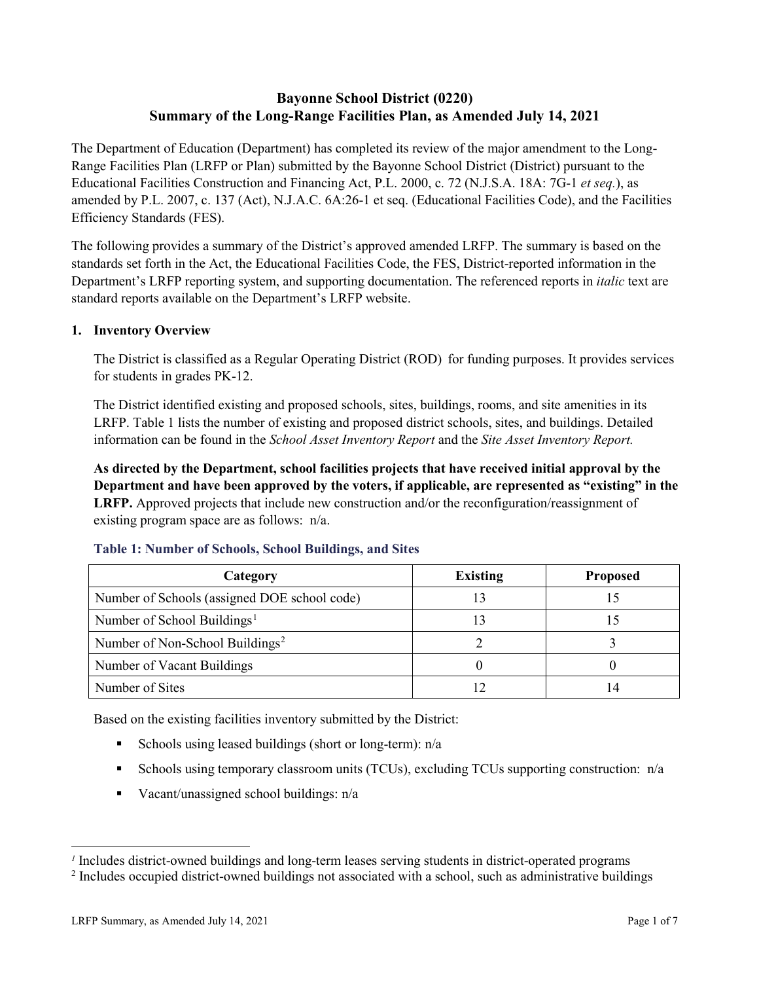# **Bayonne School District (0220) Summary of the Long-Range Facilities Plan, as Amended July 14, 2021**

The Department of Education (Department) has completed its review of the major amendment to the Long-Range Facilities Plan (LRFP or Plan) submitted by the Bayonne School District (District) pursuant to the Educational Facilities Construction and Financing Act, P.L. 2000, c. 72 (N.J.S.A. 18A: 7G-1 *et seq.*), as amended by P.L. 2007, c. 137 (Act), N.J.A.C. 6A:26-1 et seq. (Educational Facilities Code), and the Facilities Efficiency Standards (FES).

The following provides a summary of the District's approved amended LRFP. The summary is based on the standards set forth in the Act, the Educational Facilities Code, the FES, District-reported information in the Department's LRFP reporting system, and supporting documentation. The referenced reports in *italic* text are standard reports available on the Department's LRFP website.

#### **1. Inventory Overview**

The District is classified as a Regular Operating District (ROD) for funding purposes. It provides services for students in grades PK-12.

The District identified existing and proposed schools, sites, buildings, rooms, and site amenities in its LRFP. Table 1 lists the number of existing and proposed district schools, sites, and buildings. Detailed information can be found in the *School Asset Inventory Report* and the *Site Asset Inventory Report.*

**As directed by the Department, school facilities projects that have received initial approval by the Department and have been approved by the voters, if applicable, are represented as "existing" in the LRFP.** Approved projects that include new construction and/or the reconfiguration/reassignment of existing program space are as follows: n/a.

| Category                                     | <b>Existing</b> | <b>Proposed</b> |
|----------------------------------------------|-----------------|-----------------|
| Number of Schools (assigned DOE school code) |                 |                 |
| Number of School Buildings <sup>1</sup>      |                 |                 |
| Number of Non-School Buildings <sup>2</sup>  |                 |                 |
| Number of Vacant Buildings                   |                 |                 |
| Number of Sites                              |                 |                 |

#### **Table 1: Number of Schools, School Buildings, and Sites**

Based on the existing facilities inventory submitted by the District:

- Schools using leased buildings (short or long-term):  $n/a$
- Schools using temporary classroom units (TCUs), excluding TCUs supporting construction: n/a
- Vacant/unassigned school buildings:  $n/a$

 $\overline{a}$ 

<span id="page-1-1"></span><span id="page-1-0"></span>*<sup>1</sup>* Includes district-owned buildings and long-term leases serving students in district-operated programs

<sup>&</sup>lt;sup>2</sup> Includes occupied district-owned buildings not associated with a school, such as administrative buildings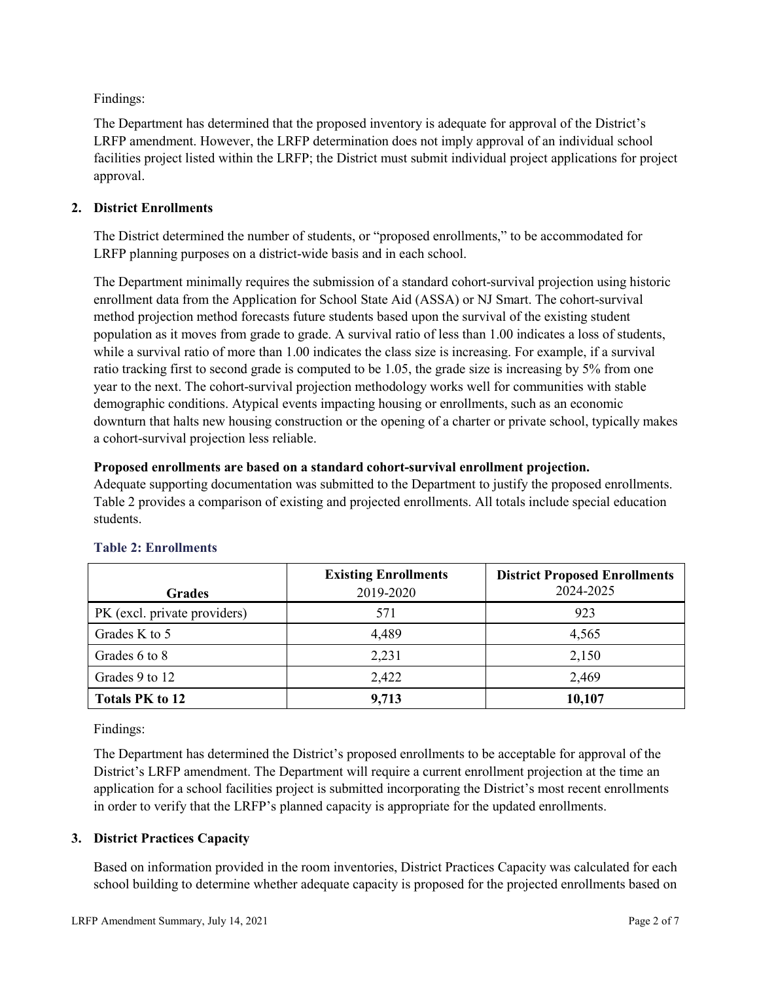Findings:

The Department has determined that the proposed inventory is adequate for approval of the District's LRFP amendment. However, the LRFP determination does not imply approval of an individual school facilities project listed within the LRFP; the District must submit individual project applications for project approval.

# **2. District Enrollments**

The District determined the number of students, or "proposed enrollments," to be accommodated for LRFP planning purposes on a district-wide basis and in each school.

The Department minimally requires the submission of a standard cohort-survival projection using historic enrollment data from the Application for School State Aid (ASSA) or NJ Smart. The cohort-survival method projection method forecasts future students based upon the survival of the existing student population as it moves from grade to grade. A survival ratio of less than 1.00 indicates a loss of students, while a survival ratio of more than 1.00 indicates the class size is increasing. For example, if a survival ratio tracking first to second grade is computed to be 1.05, the grade size is increasing by 5% from one year to the next. The cohort-survival projection methodology works well for communities with stable demographic conditions. Atypical events impacting housing or enrollments, such as an economic downturn that halts new housing construction or the opening of a charter or private school, typically makes a cohort-survival projection less reliable.

#### **Proposed enrollments are based on a standard cohort-survival enrollment projection.**

Adequate supporting documentation was submitted to the Department to justify the proposed enrollments. Table 2 provides a comparison of existing and projected enrollments. All totals include special education students.

|                              | <b>Existing Enrollments</b> | <b>District Proposed Enrollments</b> |
|------------------------------|-----------------------------|--------------------------------------|
| <b>Grades</b>                | 2019-2020                   | 2024-2025                            |
| PK (excl. private providers) | 571                         | 923                                  |
| Grades K to 5                | 4,489                       | 4,565                                |
| Grades 6 to 8                | 2,231                       | 2,150                                |
| Grades 9 to 12               | 2,422                       | 2,469                                |
| <b>Totals PK to 12</b>       | 9,713                       | 10,107                               |

# **Table 2: Enrollments**

Findings:

The Department has determined the District's proposed enrollments to be acceptable for approval of the District's LRFP amendment. The Department will require a current enrollment projection at the time an application for a school facilities project is submitted incorporating the District's most recent enrollments in order to verify that the LRFP's planned capacity is appropriate for the updated enrollments.

# **3. District Practices Capacity**

Based on information provided in the room inventories, District Practices Capacity was calculated for each school building to determine whether adequate capacity is proposed for the projected enrollments based on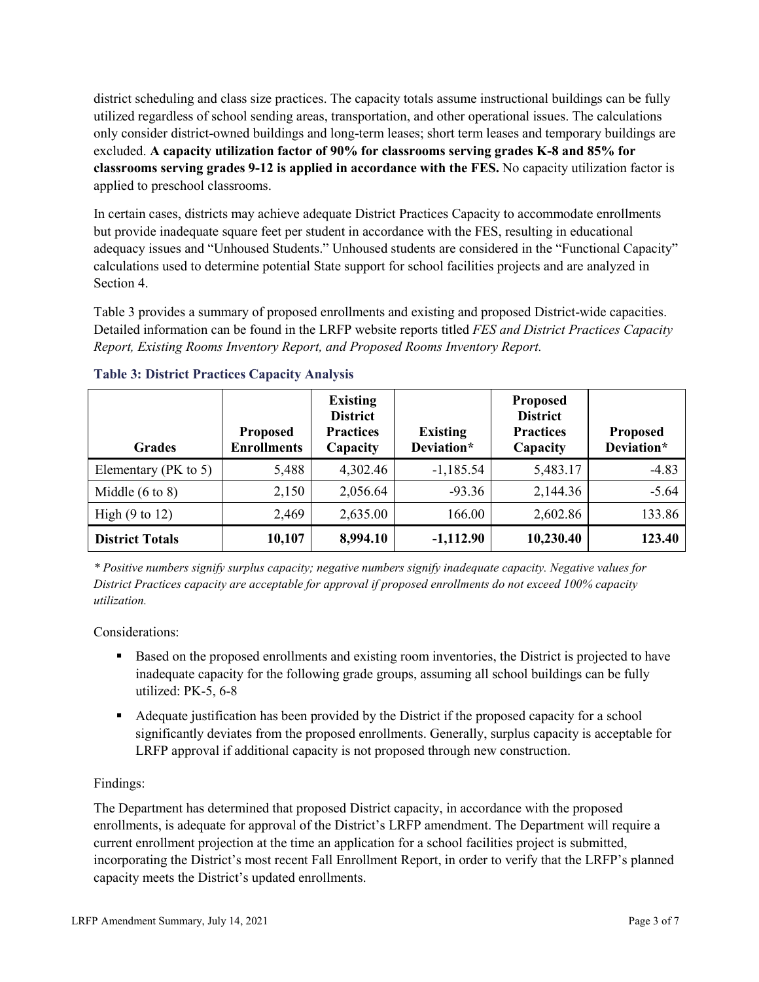district scheduling and class size practices. The capacity totals assume instructional buildings can be fully utilized regardless of school sending areas, transportation, and other operational issues. The calculations only consider district-owned buildings and long-term leases; short term leases and temporary buildings are excluded. **A capacity utilization factor of 90% for classrooms serving grades K-8 and 85% for classrooms serving grades 9-12 is applied in accordance with the FES.** No capacity utilization factor is applied to preschool classrooms.

In certain cases, districts may achieve adequate District Practices Capacity to accommodate enrollments but provide inadequate square feet per student in accordance with the FES, resulting in educational adequacy issues and "Unhoused Students." Unhoused students are considered in the "Functional Capacity" calculations used to determine potential State support for school facilities projects and are analyzed in Section 4.

Table 3 provides a summary of proposed enrollments and existing and proposed District-wide capacities. Detailed information can be found in the LRFP website reports titled *FES and District Practices Capacity Report, Existing Rooms Inventory Report, and Proposed Rooms Inventory Report.*

| <b>Grades</b>              | <b>Proposed</b><br><b>Enrollments</b> | <b>Existing</b><br><b>District</b><br><b>Practices</b><br>Capacity | <b>Existing</b><br>Deviation* | <b>Proposed</b><br><b>District</b><br><b>Practices</b><br>Capacity | <b>Proposed</b><br>Deviation* |
|----------------------------|---------------------------------------|--------------------------------------------------------------------|-------------------------------|--------------------------------------------------------------------|-------------------------------|
| Elementary ( $PK$ to 5)    | 5,488                                 | 4,302.46                                                           | $-1,185.54$                   | 5,483.17                                                           | $-4.83$                       |
| Middle $(6 \text{ to } 8)$ | 2,150                                 | 2,056.64                                                           | $-93.36$                      | 2,144.36                                                           | $-5.64$                       |
| High $(9 \text{ to } 12)$  | 2,469                                 | 2,635.00                                                           | 166.00                        | 2,602.86                                                           | 133.86                        |
| <b>District Totals</b>     | 10,107                                | 8,994.10                                                           | $-1,112.90$                   | 10,230.40                                                          | 123.40                        |

# **Table 3: District Practices Capacity Analysis**

*\* Positive numbers signify surplus capacity; negative numbers signify inadequate capacity. Negative values for District Practices capacity are acceptable for approval if proposed enrollments do not exceed 100% capacity utilization.*

Considerations:

- Based on the proposed enrollments and existing room inventories, the District is projected to have inadequate capacity for the following grade groups, assuming all school buildings can be fully utilized: PK-5, 6-8
- Adequate justification has been provided by the District if the proposed capacity for a school significantly deviates from the proposed enrollments. Generally, surplus capacity is acceptable for LRFP approval if additional capacity is not proposed through new construction.

# Findings:

The Department has determined that proposed District capacity, in accordance with the proposed enrollments, is adequate for approval of the District's LRFP amendment. The Department will require a current enrollment projection at the time an application for a school facilities project is submitted, incorporating the District's most recent Fall Enrollment Report, in order to verify that the LRFP's planned capacity meets the District's updated enrollments.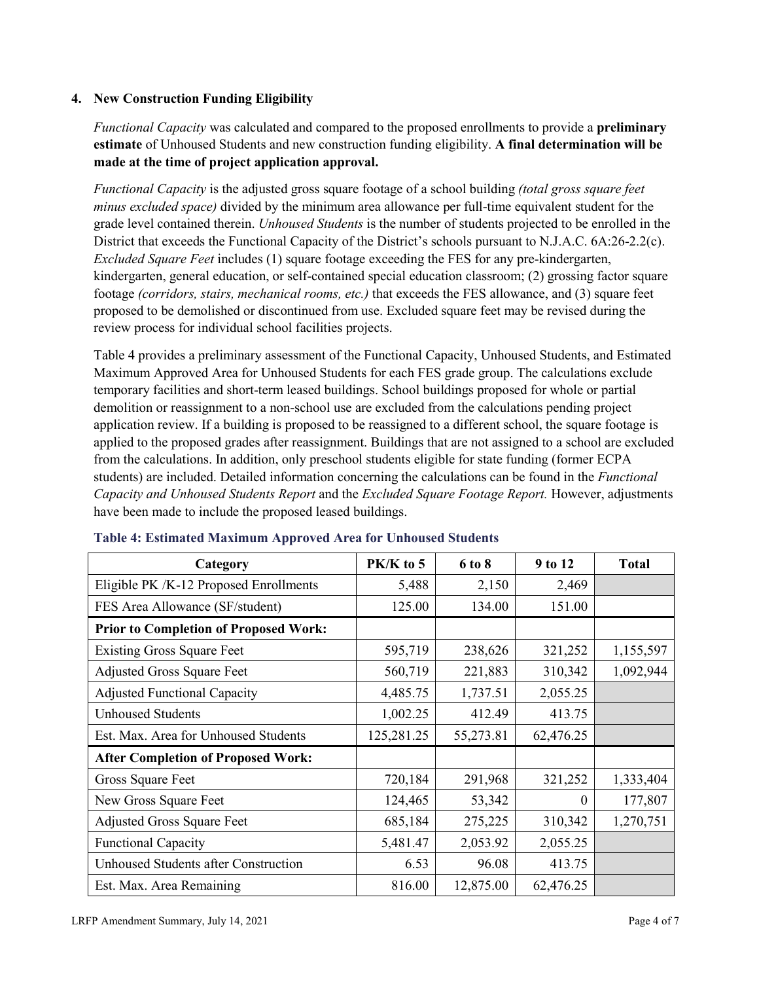# **4. New Construction Funding Eligibility**

*Functional Capacity* was calculated and compared to the proposed enrollments to provide a **preliminary estimate** of Unhoused Students and new construction funding eligibility. **A final determination will be made at the time of project application approval.**

*Functional Capacity* is the adjusted gross square footage of a school building *(total gross square feet minus excluded space)* divided by the minimum area allowance per full-time equivalent student for the grade level contained therein. *Unhoused Students* is the number of students projected to be enrolled in the District that exceeds the Functional Capacity of the District's schools pursuant to N.J.A.C. 6A:26-2.2(c). *Excluded Square Feet* includes (1) square footage exceeding the FES for any pre-kindergarten, kindergarten, general education, or self-contained special education classroom; (2) grossing factor square footage *(corridors, stairs, mechanical rooms, etc.)* that exceeds the FES allowance, and (3) square feet proposed to be demolished or discontinued from use. Excluded square feet may be revised during the review process for individual school facilities projects.

Table 4 provides a preliminary assessment of the Functional Capacity, Unhoused Students, and Estimated Maximum Approved Area for Unhoused Students for each FES grade group. The calculations exclude temporary facilities and short-term leased buildings. School buildings proposed for whole or partial demolition or reassignment to a non-school use are excluded from the calculations pending project application review. If a building is proposed to be reassigned to a different school, the square footage is applied to the proposed grades after reassignment. Buildings that are not assigned to a school are excluded from the calculations. In addition, only preschool students eligible for state funding (former ECPA students) are included. Detailed information concerning the calculations can be found in the *Functional Capacity and Unhoused Students Report* and the *Excluded Square Footage Report.* However, adjustments have been made to include the proposed leased buildings.

| Category                                     | PK/K to 5  | 6 to 8    | 9 to 12      | <b>Total</b> |
|----------------------------------------------|------------|-----------|--------------|--------------|
| Eligible PK /K-12 Proposed Enrollments       | 5,488      | 2,150     | 2,469        |              |
| FES Area Allowance (SF/student)              | 125.00     | 134.00    | 151.00       |              |
| <b>Prior to Completion of Proposed Work:</b> |            |           |              |              |
| <b>Existing Gross Square Feet</b>            | 595,719    | 238,626   | 321,252      | 1,155,597    |
| <b>Adjusted Gross Square Feet</b>            | 560,719    | 221,883   | 310,342      | 1,092,944    |
| <b>Adjusted Functional Capacity</b>          | 4,485.75   | 1,737.51  | 2,055.25     |              |
| <b>Unhoused Students</b>                     | 1,002.25   | 412.49    | 413.75       |              |
| Est. Max. Area for Unhoused Students         | 125,281.25 | 55,273.81 | 62,476.25    |              |
| <b>After Completion of Proposed Work:</b>    |            |           |              |              |
| Gross Square Feet                            | 720,184    | 291,968   | 321,252      | 1,333,404    |
| New Gross Square Feet                        | 124,465    | 53,342    | $\mathbf{0}$ | 177,807      |
| <b>Adjusted Gross Square Feet</b>            | 685,184    | 275,225   | 310,342      | 1,270,751    |
| <b>Functional Capacity</b>                   | 5,481.47   | 2,053.92  | 2,055.25     |              |
| Unhoused Students after Construction         | 6.53       | 96.08     | 413.75       |              |
| Est. Max. Area Remaining                     | 816.00     | 12,875.00 | 62,476.25    |              |

#### **Table 4: Estimated Maximum Approved Area for Unhoused Students**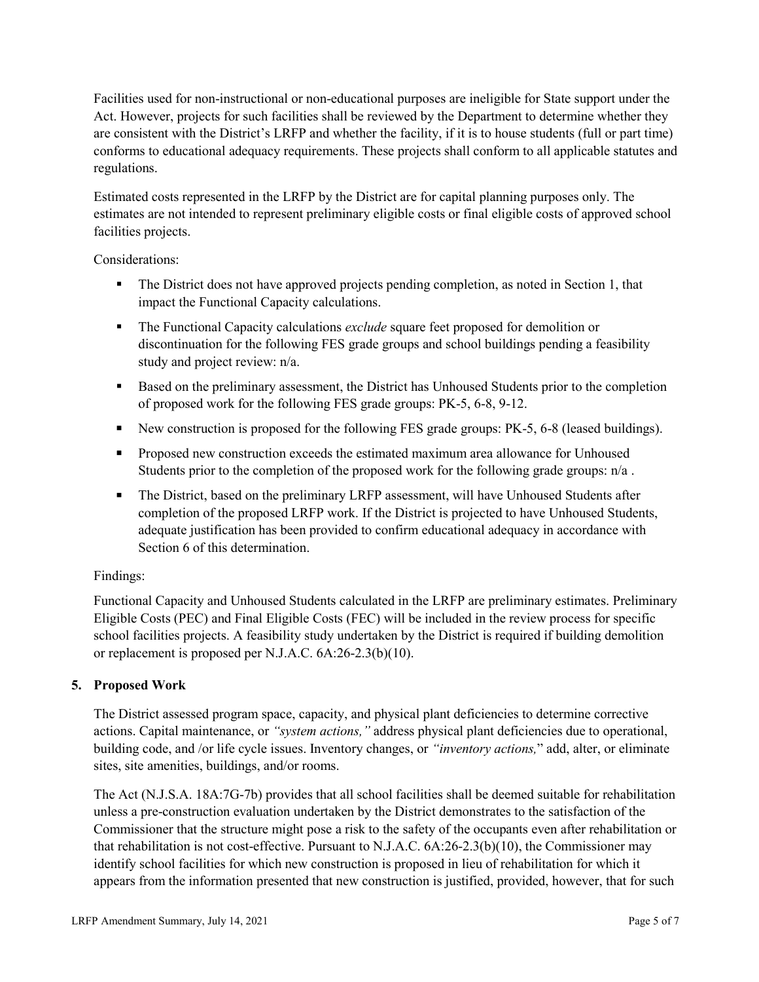Facilities used for non-instructional or non-educational purposes are ineligible for State support under the Act. However, projects for such facilities shall be reviewed by the Department to determine whether they are consistent with the District's LRFP and whether the facility, if it is to house students (full or part time) conforms to educational adequacy requirements. These projects shall conform to all applicable statutes and regulations.

Estimated costs represented in the LRFP by the District are for capital planning purposes only. The estimates are not intended to represent preliminary eligible costs or final eligible costs of approved school facilities projects.

Considerations:

- The District does not have approved projects pending completion, as noted in Section 1, that impact the Functional Capacity calculations.
- **The Functional Capacity calculations** *exclude* square feet proposed for demolition or discontinuation for the following FES grade groups and school buildings pending a feasibility study and project review: n/a.
- Based on the preliminary assessment, the District has Unhoused Students prior to the completion of proposed work for the following FES grade groups: PK-5, 6-8, 9-12.
- New construction is proposed for the following FES grade groups: PK-5, 6-8 (leased buildings).
- Proposed new construction exceeds the estimated maximum area allowance for Unhoused Students prior to the completion of the proposed work for the following grade groups: n/a.
- The District, based on the preliminary LRFP assessment, will have Unhoused Students after completion of the proposed LRFP work. If the District is projected to have Unhoused Students, adequate justification has been provided to confirm educational adequacy in accordance with Section 6 of this determination.

# Findings:

Functional Capacity and Unhoused Students calculated in the LRFP are preliminary estimates. Preliminary Eligible Costs (PEC) and Final Eligible Costs (FEC) will be included in the review process for specific school facilities projects. A feasibility study undertaken by the District is required if building demolition or replacement is proposed per N.J.A.C. 6A:26-2.3(b)(10).

# **5. Proposed Work**

The District assessed program space, capacity, and physical plant deficiencies to determine corrective actions. Capital maintenance, or *"system actions,"* address physical plant deficiencies due to operational, building code, and /or life cycle issues. Inventory changes, or *"inventory actions,*" add, alter, or eliminate sites, site amenities, buildings, and/or rooms.

The Act (N.J.S.A. 18A:7G-7b) provides that all school facilities shall be deemed suitable for rehabilitation unless a pre-construction evaluation undertaken by the District demonstrates to the satisfaction of the Commissioner that the structure might pose a risk to the safety of the occupants even after rehabilitation or that rehabilitation is not cost-effective. Pursuant to N.J.A.C. 6A:26-2.3(b)(10), the Commissioner may identify school facilities for which new construction is proposed in lieu of rehabilitation for which it appears from the information presented that new construction is justified, provided, however, that for such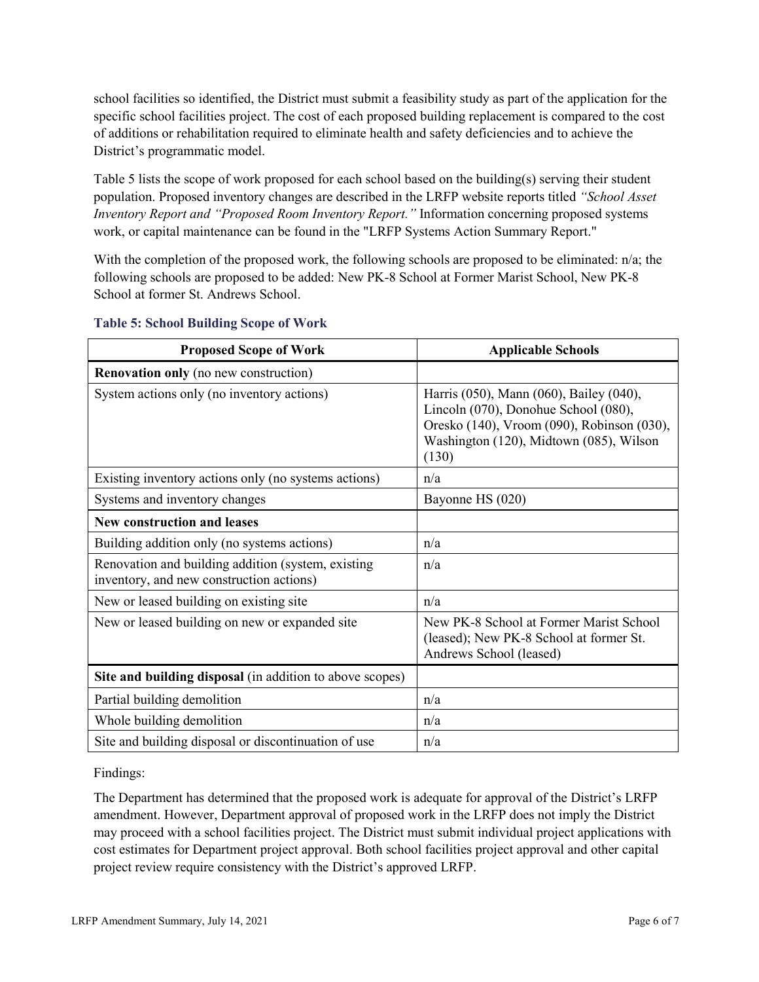school facilities so identified, the District must submit a feasibility study as part of the application for the specific school facilities project. The cost of each proposed building replacement is compared to the cost of additions or rehabilitation required to eliminate health and safety deficiencies and to achieve the District's programmatic model.

Table 5 lists the scope of work proposed for each school based on the building(s) serving their student population. Proposed inventory changes are described in the LRFP website reports titled *"School Asset Inventory Report and "Proposed Room Inventory Report."* Information concerning proposed systems work, or capital maintenance can be found in the "LRFP Systems Action Summary Report."

With the completion of the proposed work, the following schools are proposed to be eliminated: n/a; the following schools are proposed to be added: New PK-8 School at Former Marist School, New PK-8 School at former St. Andrews School.

| <b>Proposed Scope of Work</b>                                                                  | <b>Applicable Schools</b>                                                                                                                                                         |
|------------------------------------------------------------------------------------------------|-----------------------------------------------------------------------------------------------------------------------------------------------------------------------------------|
| <b>Renovation only</b> (no new construction)                                                   |                                                                                                                                                                                   |
| System actions only (no inventory actions)                                                     | Harris (050), Mann (060), Bailey (040),<br>Lincoln (070), Donohue School (080),<br>Oresko (140), Vroom (090), Robinson (030),<br>Washington (120), Midtown (085), Wilson<br>(130) |
| Existing inventory actions only (no systems actions)                                           | n/a                                                                                                                                                                               |
| Systems and inventory changes                                                                  | Bayonne HS (020)                                                                                                                                                                  |
| <b>New construction and leases</b>                                                             |                                                                                                                                                                                   |
| Building addition only (no systems actions)                                                    | n/a                                                                                                                                                                               |
| Renovation and building addition (system, existing<br>inventory, and new construction actions) | n/a                                                                                                                                                                               |
| New or leased building on existing site                                                        | n/a                                                                                                                                                                               |
| New or leased building on new or expanded site                                                 | New PK-8 School at Former Marist School<br>(leased); New PK-8 School at former St.<br>Andrews School (leased)                                                                     |
| Site and building disposal (in addition to above scopes)                                       |                                                                                                                                                                                   |
| Partial building demolition                                                                    | n/a                                                                                                                                                                               |
| Whole building demolition                                                                      | n/a                                                                                                                                                                               |
| Site and building disposal or discontinuation of use                                           | n/a                                                                                                                                                                               |

#### **Table 5: School Building Scope of Work**

Findings:

The Department has determined that the proposed work is adequate for approval of the District's LRFP amendment. However, Department approval of proposed work in the LRFP does not imply the District may proceed with a school facilities project. The District must submit individual project applications with cost estimates for Department project approval. Both school facilities project approval and other capital project review require consistency with the District's approved LRFP.